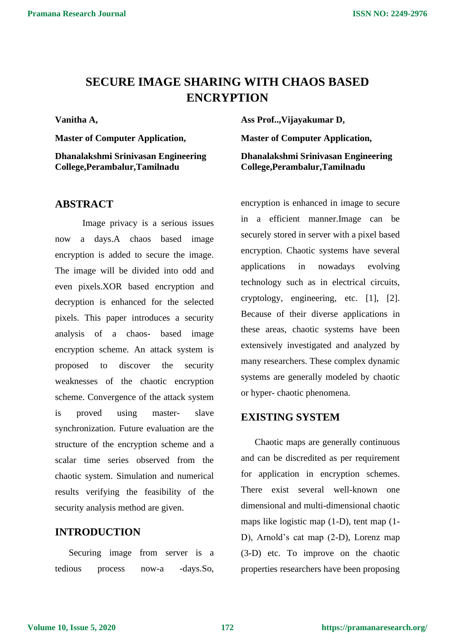# **SECURE IMAGE SHARING WITH CHAOS BASED ENCRYPTION**

**Vanitha A,**

**Master of Computer Application, Dhanalakshmi Srinivasan Engineering College,Perambalur,Tamilnadu**

#### **ABSTRACT**

Image privacy is a serious issues now a days.A chaos based image encryption is added to secure the image. The image will be divided into odd and even pixels.XOR based encryption and decryption is enhanced for the selected pixels. This paper introduces a security analysis of a chaos- based image encryption scheme. An attack system is proposed to discover the security weaknesses of the chaotic encryption scheme. Convergence of the attack system is proved using master- slave synchronization. Future evaluation are the structure of the encryption scheme and a scalar time series observed from the chaotic system. Simulation and numerical results verifying the feasibility of the security analysis method are given.

#### **INTRODUCTION**

Securing image from server is a tedious process now-a -days.So, **Ass Prof..,Vijayakumar D, Master of Computer Application, Dhanalakshmi Srinivasan Engineering College,Perambalur,Tamilnadu**

encryption is enhanced in image to secure in a efficient manner.Image can be securely stored in server with a pixel based encryption. Chaotic systems have several applications in nowadays evolving technology such as in electrical circuits, cryptology, engineering, etc. [1], [2]. Because of their diverse applications in these areas, chaotic systems have been extensively investigated and analyzed by many researchers. These complex dynamic systems are generally modeled by chaotic or hyper- chaotic phenomena.

#### **EXISTING SYSTEM**

Chaotic maps are generally continuous and can be discredited as per requirement for application in encryption schemes. There exist several well-known one dimensional and multi-dimensional chaotic maps like logistic map (1-D), tent map (1- D), Arnold's cat map (2-D), Lorenz map (3-D) etc. To improve on the chaotic properties researchers have been proposing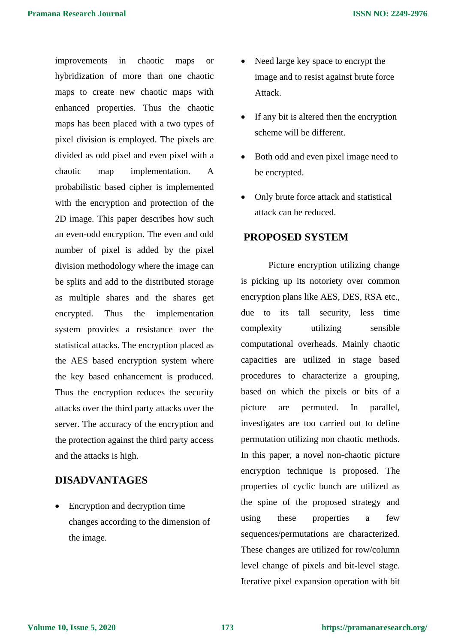improvements in chaotic maps or hybridization of more than one chaotic maps to create new chaotic maps with enhanced properties. Thus the chaotic maps has been placed with a two types of pixel division is employed. The pixels are divided as odd pixel and even pixel with a chaotic map implementation. A probabilistic based cipher is implemented with the encryption and protection of the 2D image. This paper describes how such an even-odd encryption. The even and odd number of pixel is added by the pixel division methodology where the image can be splits and add to the distributed storage as multiple shares and the shares get encrypted. Thus the implementation system provides a resistance over the statistical attacks. The encryption placed as the AES based encryption system where the key based enhancement is produced. Thus the encryption reduces the security attacks over the third party attacks over the server. The accuracy of the encryption and the protection against the third party access and the attacks is high.

# **DISADVANTAGES**

• Encryption and decryption time changes according to the dimension of the image.

- Need large key space to encrypt the image and to resist against brute force Attack.
- If any bit is altered then the encryption scheme will be different.
- Both odd and even pixel image need to be encrypted.
- Only brute force attack and statistical attack can be reduced.

#### **PROPOSED SYSTEM**

Picture encryption utilizing change is picking up its notoriety over common encryption plans like AES, DES, RSA etc., due to its tall security, less time complexity utilizing sensible computational overheads. Mainly chaotic capacities are utilized in stage based procedures to characterize a grouping, based on which the pixels or bits of a picture are permuted. In parallel, investigates are too carried out to define permutation utilizing non chaotic methods. In this paper, a novel non-chaotic picture encryption technique is proposed. The properties of cyclic bunch are utilized as the spine of the proposed strategy and using these properties a few sequences/permutations are characterized. These changes are utilized for row/column level change of pixels and bit-level stage. Iterative pixel expansion operation with bit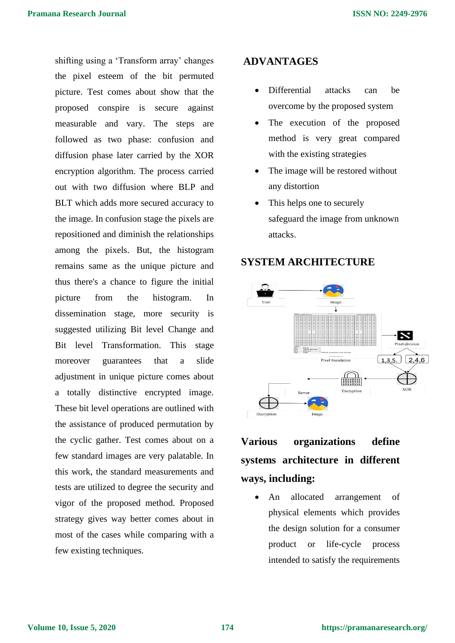shifting using a 'Transform array' changes the pixel esteem of the bit permuted picture. Test comes about show that the proposed conspire is secure against measurable and vary. The steps are followed as two phase: confusion and diffusion phase later carried by the XOR encryption algorithm. The process carried out with two diffusion where BLP and BLT which adds more secured accuracy to the image. In confusion stage the pixels are repositioned and diminish the relationships among the pixels. But, the histogram remains same as the unique picture and thus there's a chance to figure the initial picture from the histogram. In dissemination stage, more security is suggested utilizing Bit level Change and Bit level Transformation. This stage moreover guarantees that a slide adjustment in unique picture comes about a totally distinctive encrypted image. These bit level operations are outlined with the assistance of produced permutation by the cyclic gather. Test comes about on a few standard images are very palatable. In this work, the standard measurements and tests are utilized to degree the security and vigor of the proposed method. Proposed strategy gives way better comes about in most of the cases while comparing with a few existing techniques.

## **ADVANTAGES**

- Differential attacks can be overcome by the proposed system
- The execution of the proposed method is very great compared with the existing strategies
- The image will be restored without any distortion
- This helps one to securely safeguard the image from unknown attacks.

# **SYSTEM ARCHITECTURE**



# **Various organizations define systems architecture in different ways, including:**

An allocated arrangement of physical elements which provides the design solution for a consumer product or life-cycle process intended to satisfy the requirements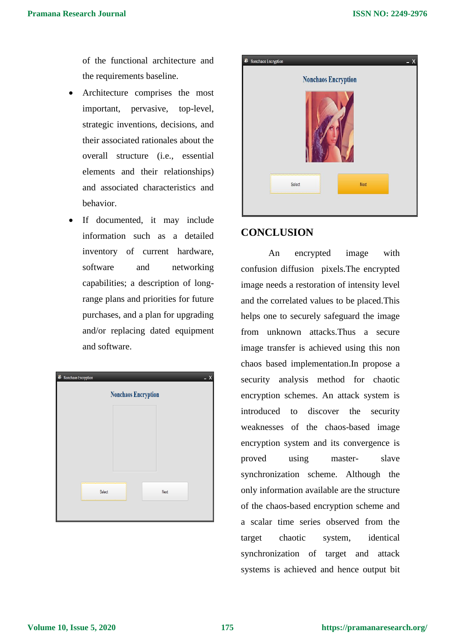of the functional architecture and the requirements baseline.

- Architecture comprises the most important, pervasive, top-level, strategic inventions, decisions, and their associated rationales about the overall structure (i.e., essential elements and their relationships) and associated characteristics and behavior.
- If documented, it may include information such as a detailed inventory of current hardware, software and networking capabilities; a description of longrange plans and priorities for future purchases, and a plan for upgrading and/or replacing dated equipment and software.

| <b>8</b> Nonchaos Encryption<br>– X |      |
|-------------------------------------|------|
| <b>Nonchaos Encryption</b>          |      |
|                                     |      |
|                                     |      |
|                                     |      |
|                                     |      |
|                                     |      |
|                                     |      |
| Select                              | Next |
|                                     |      |
|                                     |      |



## **CONCLUSION**

An encrypted image with confusion diffusion pixels.The encrypted image needs a restoration of intensity level and the correlated values to be placed.This helps one to securely safeguard the image from unknown attacks.Thus a secure image transfer is achieved using this non chaos based implementation.In propose a security analysis method for chaotic encryption schemes. An attack system is introduced to discover the security weaknesses of the chaos-based image encryption system and its convergence is proved using master- slave synchronization scheme. Although the only information available are the structure of the chaos-based encryption scheme and a scalar time series observed from the target chaotic system, identical synchronization of target and attack systems is achieved and hence output bit